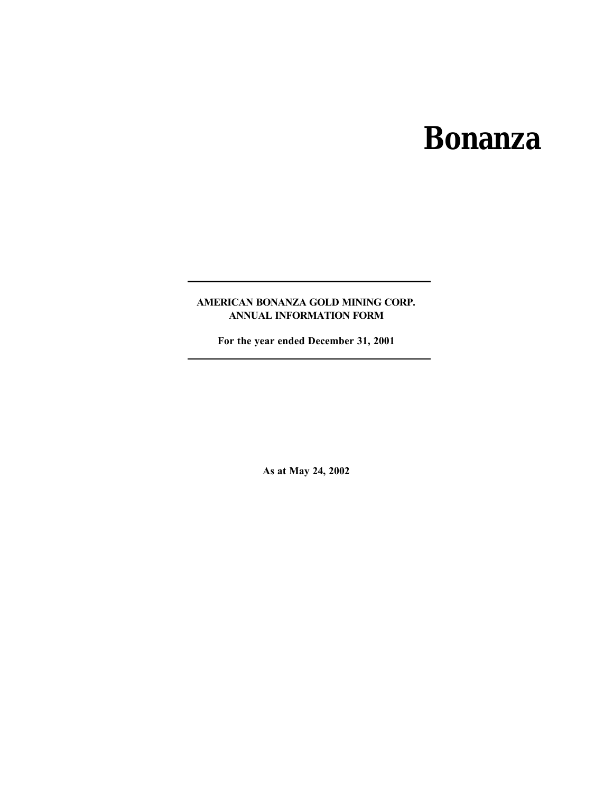# **Bonanza**

# **AMERICAN BONANZA GOLD MINING CORP. ANNUAL INFORMATION FORM**

**For the year ended December 31, 2001**

**As at May 24, 2002**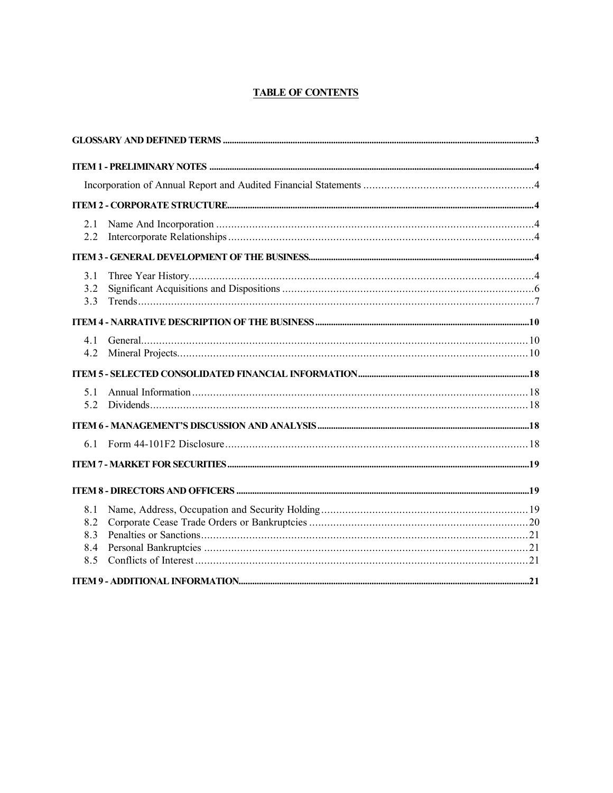# **TABLE OF CONTENTS**

| 2.1<br>2.2                      |  |  |
|---------------------------------|--|--|
|                                 |  |  |
| 3.1<br>3.2<br>3.3               |  |  |
|                                 |  |  |
| 41<br>4.2                       |  |  |
|                                 |  |  |
| 51<br>5.2                       |  |  |
|                                 |  |  |
| 61                              |  |  |
|                                 |  |  |
|                                 |  |  |
| 8.1<br>8.2<br>8.3<br>8.4<br>8.5 |  |  |
|                                 |  |  |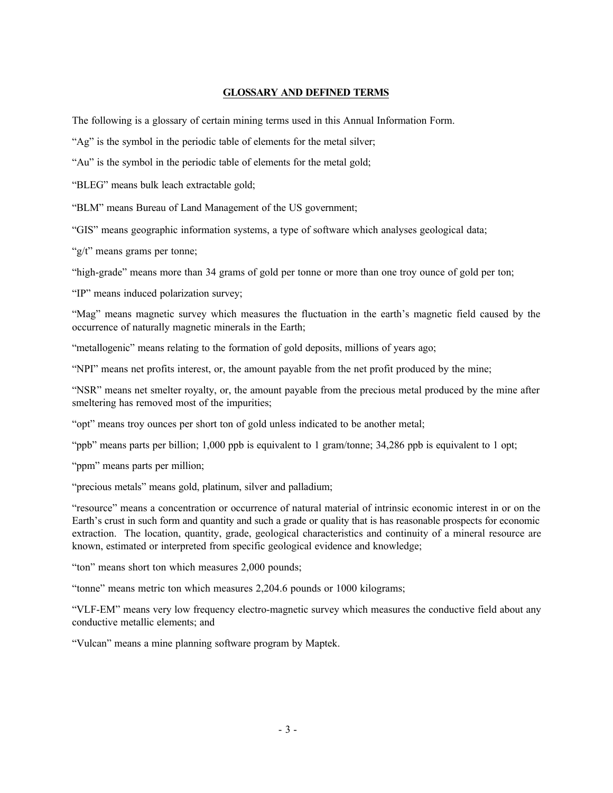#### **GLOSSARY AND DEFINED TERMS**

The following is a glossary of certain mining terms used in this Annual Information Form.

"Ag" is the symbol in the periodic table of elements for the metal silver;

"Au" is the symbol in the periodic table of elements for the metal gold;

"BLEG" means bulk leach extractable gold;

"BLM" means Bureau of Land Management of the US government;

"GIS" means geographic information systems, a type of software which analyses geological data;

"g/t" means grams per tonne;

"high-grade" means more than 34 grams of gold per tonne or more than one troy ounce of gold per ton;

"IP" means induced polarization survey;

"Mag" means magnetic survey which measures the fluctuation in the earth's magnetic field caused by the occurrence of naturally magnetic minerals in the Earth;

"metallogenic" means relating to the formation of gold deposits, millions of years ago;

"NPI" means net profits interest, or, the amount payable from the net profit produced by the mine;

"NSR" means net smelter royalty, or, the amount payable from the precious metal produced by the mine after smeltering has removed most of the impurities;

"opt" means troy ounces per short ton of gold unless indicated to be another metal;

"ppb" means parts per billion; 1,000 ppb is equivalent to 1 gram/tonne; 34,286 ppb is equivalent to 1 opt;

"ppm" means parts per million;

"precious metals" means gold, platinum, silver and palladium;

"resource" means a concentration or occurrence of natural material of intrinsic economic interest in or on the Earth's crust in such form and quantity and such a grade or quality that is has reasonable prospects for economic extraction. The location, quantity, grade, geological characteristics and continuity of a mineral resource are known, estimated or interpreted from specific geological evidence and knowledge;

"ton" means short ton which measures 2,000 pounds;

"tonne" means metric ton which measures 2,204.6 pounds or 1000 kilograms;

"VLF-EM" means very low frequency electro-magnetic survey which measures the conductive field about any conductive metallic elements; and

"Vulcan" means a mine planning software program by Maptek.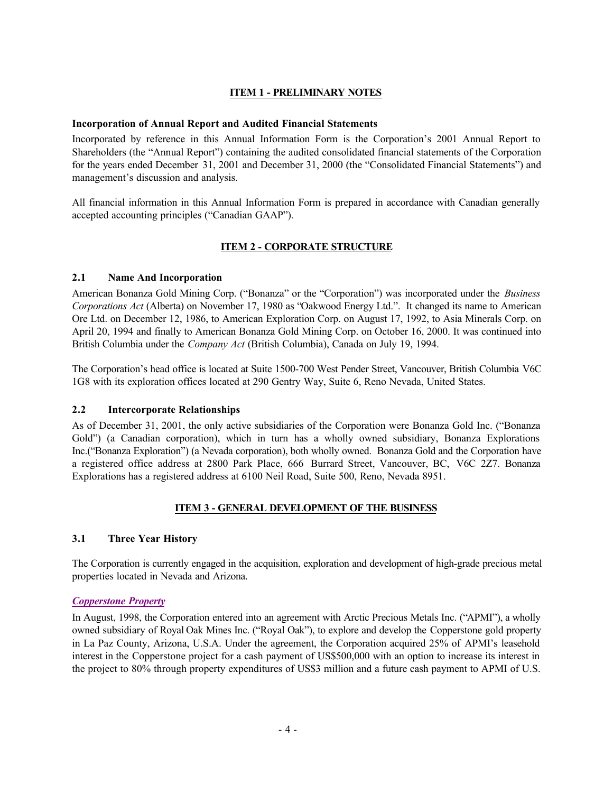# **ITEM 1 - PRELIMINARY NOTES**

#### **Incorporation of Annual Report and Audited Financial Statements**

Incorporated by reference in this Annual Information Form is the Corporation's 2001 Annual Report to Shareholders (the "Annual Report") containing the audited consolidated financial statements of the Corporation for the years ended December 31, 2001 and December 31, 2000 (the "Consolidated Financial Statements") and management's discussion and analysis.

All financial information in this Annual Information Form is prepared in accordance with Canadian generally accepted accounting principles ("Canadian GAAP").

## **ITEM 2 - CORPORATE STRUCTURE**

## **2.1 Name And Incorporation**

American Bonanza Gold Mining Corp. ("Bonanza" or the "Corporation") was incorporated under the *Business Corporations Act* (Alberta) on November 17, 1980 as "Oakwood Energy Ltd.". It changed its name to American Ore Ltd. on December 12, 1986, to American Exploration Corp. on August 17, 1992, to Asia Minerals Corp. on April 20, 1994 and finally to American Bonanza Gold Mining Corp. on October 16, 2000. It was continued into British Columbia under the *Company Act* (British Columbia), Canada on July 19, 1994.

The Corporation's head office is located at Suite 1500-700 West Pender Street, Vancouver, British Columbia V6C 1G8 with its exploration offices located at 290 Gentry Way, Suite 6, Reno Nevada, United States.

## **2.2 Intercorporate Relationships**

As of December 31, 2001, the only active subsidiaries of the Corporation were Bonanza Gold Inc. ("Bonanza Gold") (a Canadian corporation), which in turn has a wholly owned subsidiary, Bonanza Explorations Inc.("Bonanza Exploration") (a Nevada corporation), both wholly owned. Bonanza Gold and the Corporation have a registered office address at 2800 Park Place, 666 Burrard Street, Vancouver, BC, V6C 2Z7. Bonanza Explorations has a registered address at 6100 Neil Road, Suite 500, Reno, Nevada 8951.

## **ITEM 3 - GENERAL DEVELOPMENT OF THE BUSINESS**

#### **3.1 Three Year History**

The Corporation is currently engaged in the acquisition, exploration and development of high-grade precious metal properties located in Nevada and Arizona.

## *Copperstone Property*

In August, 1998, the Corporation entered into an agreement with Arctic Precious Metals Inc. ("APMI"), a wholly owned subsidiary of Royal Oak Mines Inc. ("Royal Oak"), to explore and develop the Copperstone gold property in La Paz County, Arizona, U.S.A. Under the agreement, the Corporation acquired 25% of APMI's leasehold interest in the Copperstone project for a cash payment of US\$500,000 with an option to increase its interest in the project to 80% through property expenditures of US\$3 million and a future cash payment to APMI of U.S.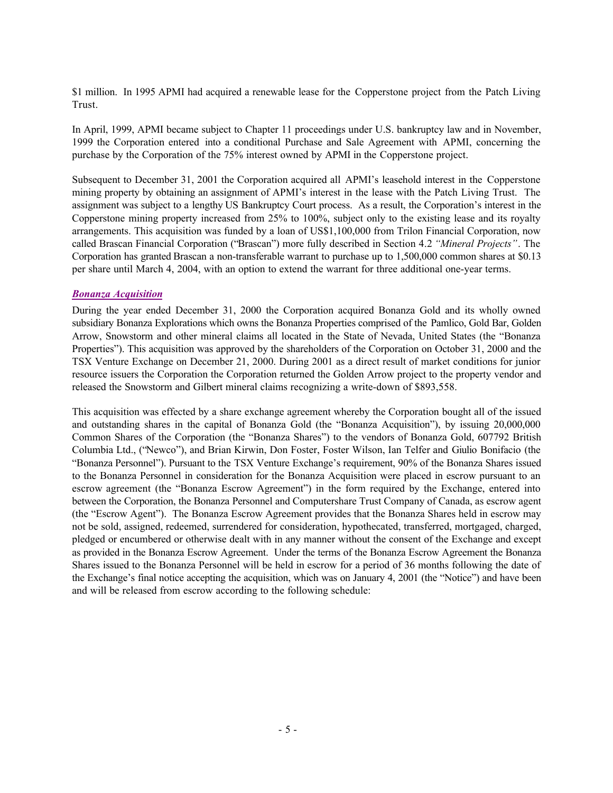\$1 million. In 1995 APMI had acquired a renewable lease for the Copperstone project from the Patch Living Trust.

In April, 1999, APMI became subject to Chapter 11 proceedings under U.S. bankruptcy law and in November, 1999 the Corporation entered into a conditional Purchase and Sale Agreement with APMI, concerning the purchase by the Corporation of the 75% interest owned by APMI in the Copperstone project.

Subsequent to December 31, 2001 the Corporation acquired all APMI's leasehold interest in the Copperstone mining property by obtaining an assignment of APMI's interest in the lease with the Patch Living Trust. The assignment was subject to a lengthy US Bankruptcy Court process. As a result, the Corporation's interest in the Copperstone mining property increased from 25% to 100%, subject only to the existing lease and its royalty arrangements. This acquisition was funded by a loan of US\$1,100,000 from Trilon Financial Corporation, now called Brascan Financial Corporation ("Brascan") more fully described in Section 4.2 *"Mineral Projects"*. The Corporation has granted Brascan a non-transferable warrant to purchase up to 1,500,000 common shares at \$0.13 per share until March 4, 2004, with an option to extend the warrant for three additional one-year terms.

#### *Bonanza Acquisition*

During the year ended December 31, 2000 the Corporation acquired Bonanza Gold and its wholly owned subsidiary Bonanza Explorations which owns the Bonanza Properties comprised of the Pamlico, Gold Bar, Golden Arrow, Snowstorm and other mineral claims all located in the State of Nevada, United States (the "Bonanza Properties"). This acquisition was approved by the shareholders of the Corporation on October 31, 2000 and the TSX Venture Exchange on December 21, 2000. During 2001 as a direct result of market conditions for junior resource issuers the Corporation the Corporation returned the Golden Arrow project to the property vendor and released the Snowstorm and Gilbert mineral claims recognizing a write-down of \$893,558.

This acquisition was effected by a share exchange agreement whereby the Corporation bought all of the issued and outstanding shares in the capital of Bonanza Gold (the "Bonanza Acquisition"), by issuing 20,000,000 Common Shares of the Corporation (the "Bonanza Shares") to the vendors of Bonanza Gold, 607792 British Columbia Ltd., ("Newco"), and Brian Kirwin, Don Foster, Foster Wilson, Ian Telfer and Giulio Bonifacio (the "Bonanza Personnel"). Pursuant to the TSX Venture Exchange's requirement, 90% of the Bonanza Shares issued to the Bonanza Personnel in consideration for the Bonanza Acquisition were placed in escrow pursuant to an escrow agreement (the "Bonanza Escrow Agreement") in the form required by the Exchange, entered into between the Corporation, the Bonanza Personnel and Computershare Trust Company of Canada, as escrow agent (the "Escrow Agent"). The Bonanza Escrow Agreement provides that the Bonanza Shares held in escrow may not be sold, assigned, redeemed, surrendered for consideration, hypothecated, transferred, mortgaged, charged, pledged or encumbered or otherwise dealt with in any manner without the consent of the Exchange and except as provided in the Bonanza Escrow Agreement. Under the terms of the Bonanza Escrow Agreement the Bonanza Shares issued to the Bonanza Personnel will be held in escrow for a period of 36 months following the date of the Exchange's final notice accepting the acquisition, which was on January 4, 2001 (the "Notice") and have been and will be released from escrow according to the following schedule: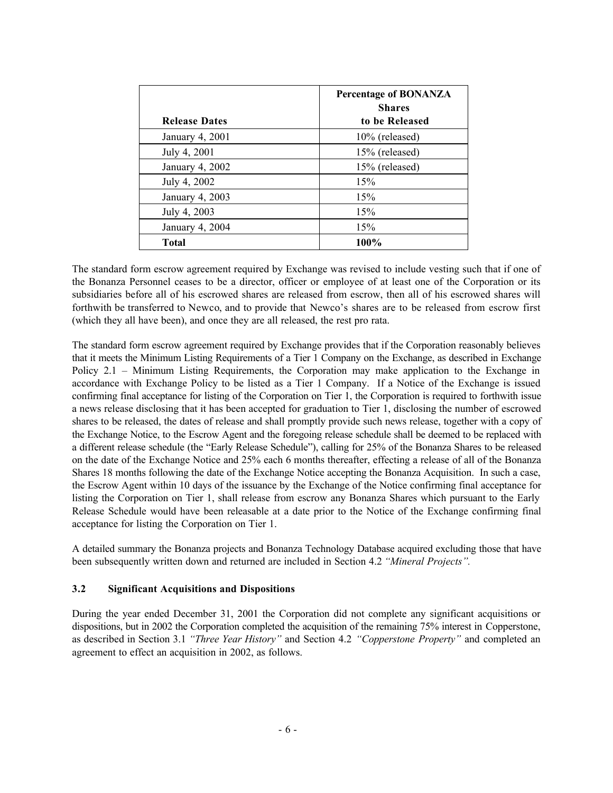|                      | <b>Percentage of BONANZA</b><br><b>Shares</b> |
|----------------------|-----------------------------------------------|
| <b>Release Dates</b> | to be Released                                |
| January 4, 2001      | 10% (released)                                |
| July 4, 2001         | 15% (released)                                |
| January 4, 2002      | 15% (released)                                |
| July 4, 2002         | 15%                                           |
| January 4, 2003      | 15%                                           |
| July 4, 2003         | 15%                                           |
| January 4, 2004      | 15%                                           |
| Total                | 100%                                          |

The standard form escrow agreement required by Exchange was revised to include vesting such that if one of the Bonanza Personnel ceases to be a director, officer or employee of at least one of the Corporation or its subsidiaries before all of his escrowed shares are released from escrow, then all of his escrowed shares will forthwith be transferred to Newco, and to provide that Newco's shares are to be released from escrow first (which they all have been), and once they are all released, the rest pro rata.

The standard form escrow agreement required by Exchange provides that if the Corporation reasonably believes that it meets the Minimum Listing Requirements of a Tier 1 Company on the Exchange, as described in Exchange Policy 2.1 – Minimum Listing Requirements, the Corporation may make application to the Exchange in accordance with Exchange Policy to be listed as a Tier 1 Company. If a Notice of the Exchange is issued confirming final acceptance for listing of the Corporation on Tier 1, the Corporation is required to forthwith issue a news release disclosing that it has been accepted for graduation to Tier 1, disclosing the number of escrowed shares to be released, the dates of release and shall promptly provide such news release, together with a copy of the Exchange Notice, to the Escrow Agent and the foregoing release schedule shall be deemed to be replaced with a different release schedule (the "Early Release Schedule"), calling for 25% of the Bonanza Shares to be released on the date of the Exchange Notice and 25% each 6 months thereafter, effecting a release of all of the Bonanza Shares 18 months following the date of the Exchange Notice accepting the Bonanza Acquisition. In such a case, the Escrow Agent within 10 days of the issuance by the Exchange of the Notice confirming final acceptance for listing the Corporation on Tier 1, shall release from escrow any Bonanza Shares which pursuant to the Early Release Schedule would have been releasable at a date prior to the Notice of the Exchange confirming final acceptance for listing the Corporation on Tier 1.

A detailed summary the Bonanza projects and Bonanza Technology Database acquired excluding those that have been subsequently written down and returned are included in Section 4.2 *"Mineral Projects".*

## **3.2 Significant Acquisitions and Dispositions**

During the year ended December 31, 2001 the Corporation did not complete any significant acquisitions or dispositions, but in 2002 the Corporation completed the acquisition of the remaining 75% interest in Copperstone, as described in Section 3.1 *"Three Year History"* and Section 4.2 *"Copperstone Property"* and completed an agreement to effect an acquisition in 2002, as follows.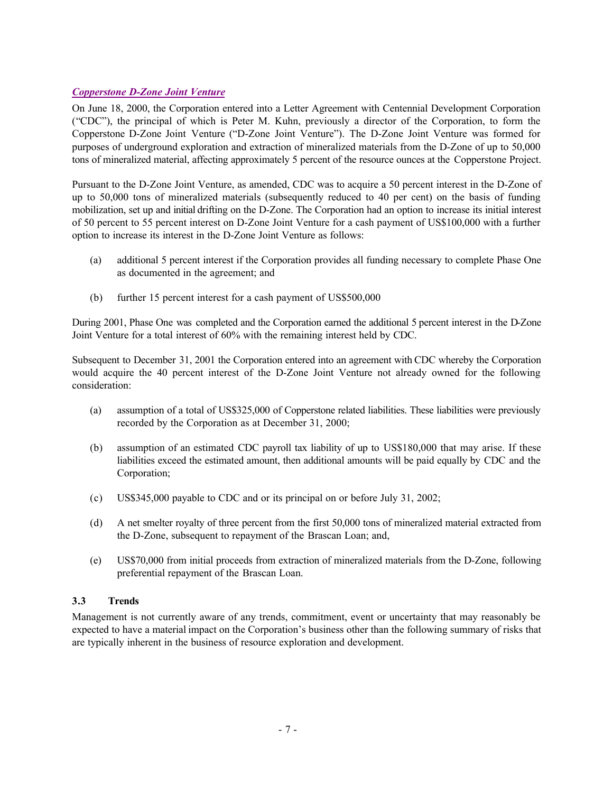## *Copperstone D-Zone Joint Venture*

On June 18, 2000, the Corporation entered into a Letter Agreement with Centennial Development Corporation ("CDC"), the principal of which is Peter M. Kuhn, previously a director of the Corporation, to form the Copperstone D-Zone Joint Venture ("D-Zone Joint Venture"). The D-Zone Joint Venture was formed for purposes of underground exploration and extraction of mineralized materials from the D-Zone of up to 50,000 tons of mineralized material, affecting approximately 5 percent of the resource ounces at the Copperstone Project.

Pursuant to the D-Zone Joint Venture, as amended, CDC was to acquire a 50 percent interest in the D-Zone of up to 50,000 tons of mineralized materials (subsequently reduced to 40 per cent) on the basis of funding mobilization, set up and initial drifting on the D-Zone. The Corporation had an option to increase its initial interest of 50 percent to 55 percent interest on D-Zone Joint Venture for a cash payment of US\$100,000 with a further option to increase its interest in the D-Zone Joint Venture as follows:

- (a) additional 5 percent interest if the Corporation provides all funding necessary to complete Phase One as documented in the agreement; and
- (b) further 15 percent interest for a cash payment of US\$500,000

During 2001, Phase One was completed and the Corporation earned the additional 5 percent interest in the D-Zone Joint Venture for a total interest of 60% with the remaining interest held by CDC.

Subsequent to December 31, 2001 the Corporation entered into an agreement with CDC whereby the Corporation would acquire the 40 percent interest of the D-Zone Joint Venture not already owned for the following consideration:

- (a) assumption of a total of US\$325,000 of Copperstone related liabilities. These liabilities were previously recorded by the Corporation as at December 31, 2000;
- (b) assumption of an estimated CDC payroll tax liability of up to US\$180,000 that may arise. If these liabilities exceed the estimated amount, then additional amounts will be paid equally by CDC and the Corporation;
- (c) US\$345,000 payable to CDC and or its principal on or before July 31, 2002;
- (d) A net smelter royalty of three percent from the first 50,000 tons of mineralized material extracted from the D-Zone, subsequent to repayment of the Brascan Loan; and,
- (e) US\$70,000 from initial proceeds from extraction of mineralized materials from the D-Zone, following preferential repayment of the Brascan Loan.

# **3.3 Trends**

Management is not currently aware of any trends, commitment, event or uncertainty that may reasonably be expected to have a material impact on the Corporation's business other than the following summary of risks that are typically inherent in the business of resource exploration and development.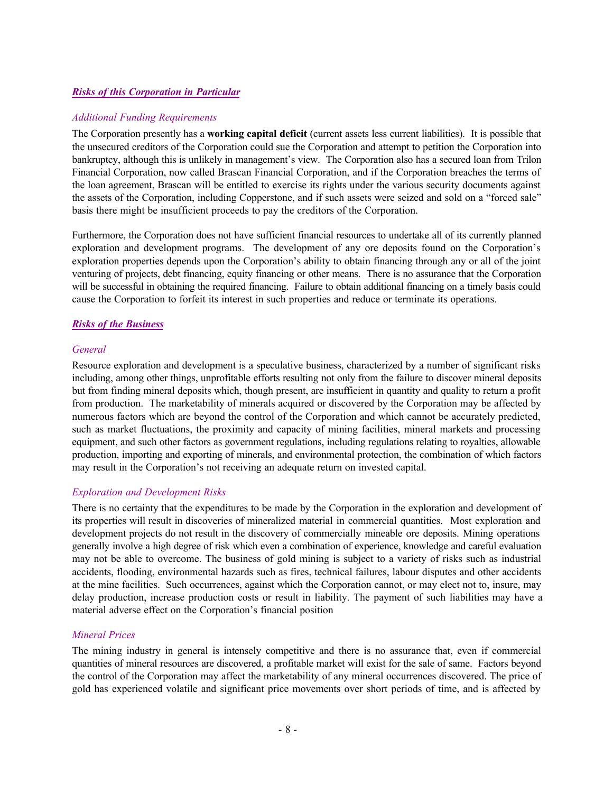#### *Risks of this Corporation in Particular*

#### *Additional Funding Requirements*

The Corporation presently has a **working capital deficit** (current assets less current liabilities). It is possible that the unsecured creditors of the Corporation could sue the Corporation and attempt to petition the Corporation into bankruptcy, although this is unlikely in management's view. The Corporation also has a secured loan from Trilon Financial Corporation, now called Brascan Financial Corporation, and if the Corporation breaches the terms of the loan agreement, Brascan will be entitled to exercise its rights under the various security documents against the assets of the Corporation, including Copperstone, and if such assets were seized and sold on a "forced sale" basis there might be insufficient proceeds to pay the creditors of the Corporation.

Furthermore, the Corporation does not have sufficient financial resources to undertake all of its currently planned exploration and development programs. The development of any ore deposits found on the Corporation's exploration properties depends upon the Corporation's ability to obtain financing through any or all of the joint venturing of projects, debt financing, equity financing or other means. There is no assurance that the Corporation will be successful in obtaining the required financing. Failure to obtain additional financing on a timely basis could cause the Corporation to forfeit its interest in such properties and reduce or terminate its operations.

#### *Risks of the Business*

#### *General*

Resource exploration and development is a speculative business, characterized by a number of significant risks including, among other things, unprofitable efforts resulting not only from the failure to discover mineral deposits but from finding mineral deposits which, though present, are insufficient in quantity and quality to return a profit from production. The marketability of minerals acquired or discovered by the Corporation may be affected by numerous factors which are beyond the control of the Corporation and which cannot be accurately predicted, such as market fluctuations, the proximity and capacity of mining facilities, mineral markets and processing equipment, and such other factors as government regulations, including regulations relating to royalties, allowable production, importing and exporting of minerals, and environmental protection, the combination of which factors may result in the Corporation's not receiving an adequate return on invested capital.

#### *Exploration and Development Risks*

There is no certainty that the expenditures to be made by the Corporation in the exploration and development of its properties will result in discoveries of mineralized material in commercial quantities. Most exploration and development projects do not result in the discovery of commercially mineable ore deposits. Mining operations generally involve a high degree of risk which even a combination of experience, knowledge and careful evaluation may not be able to overcome. The business of gold mining is subject to a variety of risks such as industrial accidents, flooding, environmental hazards such as fires, technical failures, labour disputes and other accidents at the mine facilities. Such occurrences, against which the Corporation cannot, or may elect not to, insure, may delay production, increase production costs or result in liability. The payment of such liabilities may have a material adverse effect on the Corporation's financial position

#### *Mineral Prices*

The mining industry in general is intensely competitive and there is no assurance that, even if commercial quantities of mineral resources are discovered, a profitable market will exist for the sale of same. Factors beyond the control of the Corporation may affect the marketability of any mineral occurrences discovered. The price of gold has experienced volatile and significant price movements over short periods of time, and is affected by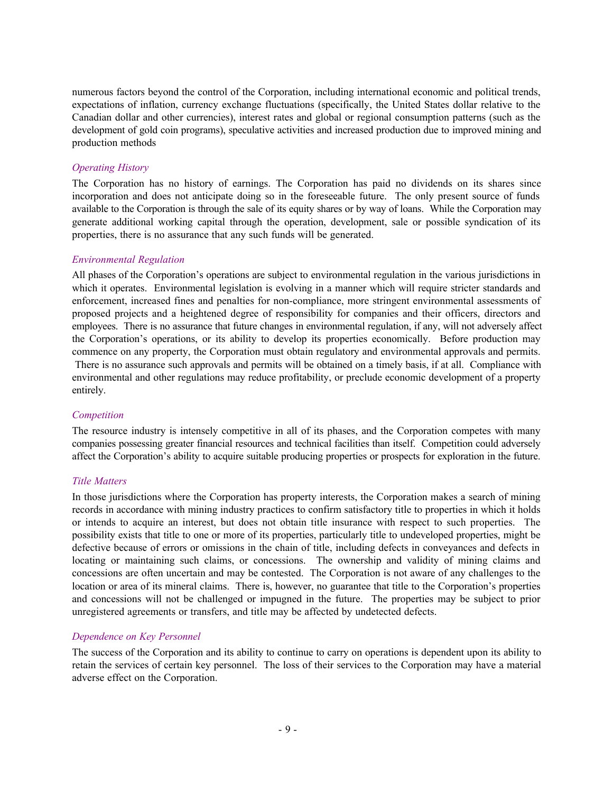numerous factors beyond the control of the Corporation, including international economic and political trends, expectations of inflation, currency exchange fluctuations (specifically, the United States dollar relative to the Canadian dollar and other currencies), interest rates and global or regional consumption patterns (such as the development of gold coin programs), speculative activities and increased production due to improved mining and production methods

#### *Operating History*

The Corporation has no history of earnings. The Corporation has paid no dividends on its shares since incorporation and does not anticipate doing so in the foreseeable future. The only present source of funds available to the Corporation is through the sale of its equity shares or by way of loans. While the Corporation may generate additional working capital through the operation, development, sale or possible syndication of its properties, there is no assurance that any such funds will be generated.

#### *Environmental Regulation*

All phases of the Corporation's operations are subject to environmental regulation in the various jurisdictions in which it operates. Environmental legislation is evolving in a manner which will require stricter standards and enforcement, increased fines and penalties for non-compliance, more stringent environmental assessments of proposed projects and a heightened degree of responsibility for companies and their officers, directors and employees. There is no assurance that future changes in environmental regulation, if any, will not adversely affect the Corporation's operations, or its ability to develop its properties economically. Before production may commence on any property, the Corporation must obtain regulatory and environmental approvals and permits. There is no assurance such approvals and permits will be obtained on a timely basis, if at all. Compliance with environmental and other regulations may reduce profitability, or preclude economic development of a property entirely.

#### *Competition*

The resource industry is intensely competitive in all of its phases, and the Corporation competes with many companies possessing greater financial resources and technical facilities than itself. Competition could adversely affect the Corporation's ability to acquire suitable producing properties or prospects for exploration in the future.

#### *Title Matters*

In those jurisdictions where the Corporation has property interests, the Corporation makes a search of mining records in accordance with mining industry practices to confirm satisfactory title to properties in which it holds or intends to acquire an interest, but does not obtain title insurance with respect to such properties. The possibility exists that title to one or more of its properties, particularly title to undeveloped properties, might be defective because of errors or omissions in the chain of title, including defects in conveyances and defects in locating or maintaining such claims, or concessions. The ownership and validity of mining claims and concessions are often uncertain and may be contested. The Corporation is not aware of any challenges to the location or area of its mineral claims. There is, however, no guarantee that title to the Corporation's properties and concessions will not be challenged or impugned in the future. The properties may be subject to prior unregistered agreements or transfers, and title may be affected by undetected defects.

#### *Dependence on Key Personnel*

The success of the Corporation and its ability to continue to carry on operations is dependent upon its ability to retain the services of certain key personnel. The loss of their services to the Corporation may have a material adverse effect on the Corporation.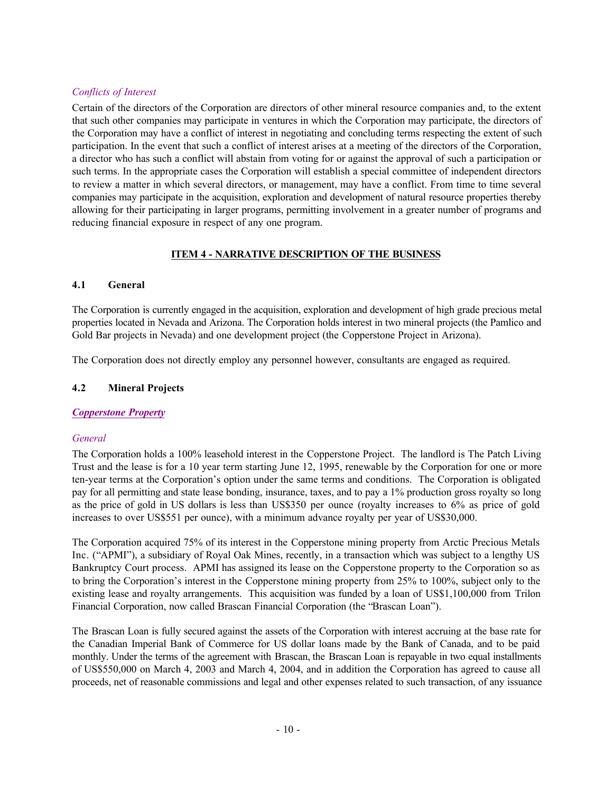# *Conflicts of Interest*

Certain of the directors of the Corporation are directors of other mineral resource companies and, to the extent that such other companies may participate in ventures in which the Corporation may participate, the directors of the Corporation may have a conflict of interest in negotiating and concluding terms respecting the extent of such participation. In the event that such a conflict of interest arises at a meeting of the directors of the Corporation, a director who has such a conflict will abstain from voting for or against the approval of such a participation or such terms. In the appropriate cases the Corporation will establish a special committee of independent directors to review a matter in which several directors, or management, may have a conflict. From time to time several companies may participate in the acquisition, exploration and development of natural resource properties thereby allowing for their participating in larger programs, permitting involvement in a greater number of programs and reducing financial exposure in respect of any one program.

# **ITEM 4 - NARRATIVE DESCRIPTION OF THE BUSINESS**

## **4.1 General**

The Corporation is currently engaged in the acquisition, exploration and development of high grade precious metal properties located in Nevada and Arizona. The Corporation holds interest in two mineral projects (the Pamlico and Gold Bar projects in Nevada) and one development project (the Copperstone Project in Arizona).

The Corporation does not directly employ any personnel however, consultants are engaged as required.

## **4.2 Mineral Projects**

## *Copperstone Property*

## *General*

The Corporation holds a 100% leasehold interest in the Copperstone Project. The landlord is The Patch Living Trust and the lease is for a 10 year term starting June 12, 1995, renewable by the Corporation for one or more ten-year terms at the Corporation's option under the same terms and conditions. The Corporation is obligated pay for all permitting and state lease bonding, insurance, taxes, and to pay a 1% production gross royalty so long as the price of gold in US dollars is less than US\$350 per ounce (royalty increases to 6% as price of gold increases to over US\$551 per ounce), with a minimum advance royalty per year of US\$30,000.

The Corporation acquired 75% of its interest in the Copperstone mining property from Arctic Precious Metals Inc. ("APMI"), a subsidiary of Royal Oak Mines, recently, in a transaction which was subject to a lengthy US Bankruptcy Court process. APMI has assigned its lease on the Copperstone property to the Corporation so as to bring the Corporation's interest in the Copperstone mining property from 25% to 100%, subject only to the existing lease and royalty arrangements. This acquisition was funded by a loan of US\$1,100,000 from Trilon Financial Corporation, now called Brascan Financial Corporation (the "Brascan Loan").

The Brascan Loan is fully secured against the assets of the Corporation with interest accruing at the base rate for the Canadian Imperial Bank of Commerce for US dollar loans made by the Bank of Canada, and to be paid monthly. Under the terms of the agreement with Brascan, the Brascan Loan is repayable in two equal installments of US\$550,000 on March 4, 2003 and March 4, 2004, and in addition the Corporation has agreed to cause all proceeds, net of reasonable commissions and legal and other expenses related to such transaction, of any issuance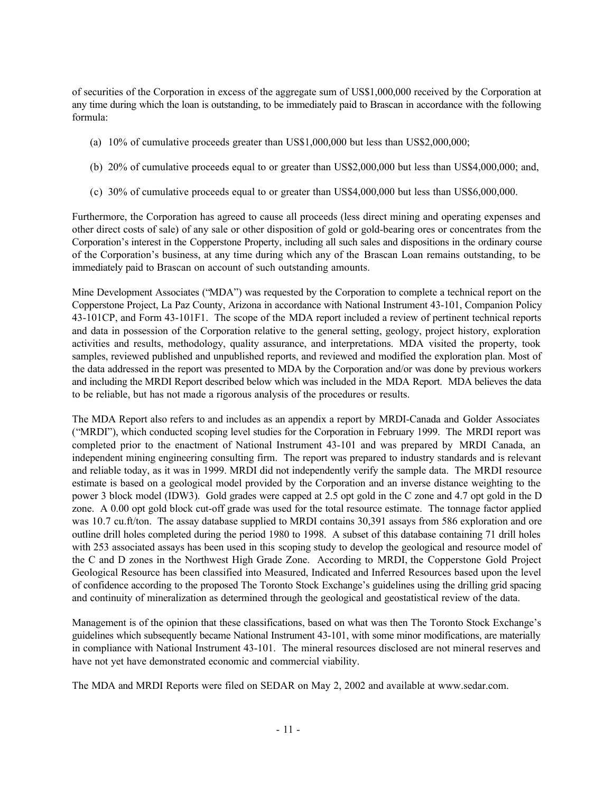of securities of the Corporation in excess of the aggregate sum of US\$1,000,000 received by the Corporation at any time during which the loan is outstanding, to be immediately paid to Brascan in accordance with the following formula:

- (a) 10% of cumulative proceeds greater than US\$1,000,000 but less than US\$2,000,000;
- (b) 20% of cumulative proceeds equal to or greater than US\$2,000,000 but less than US\$4,000,000; and,
- (c) 30% of cumulative proceeds equal to or greater than US\$4,000,000 but less than US\$6,000,000.

Furthermore, the Corporation has agreed to cause all proceeds (less direct mining and operating expenses and other direct costs of sale) of any sale or other disposition of gold or gold-bearing ores or concentrates from the Corporation's interest in the Copperstone Property, including all such sales and dispositions in the ordinary course of the Corporation's business, at any time during which any of the Brascan Loan remains outstanding, to be immediately paid to Brascan on account of such outstanding amounts.

Mine Development Associates ("MDA") was requested by the Corporation to complete a technical report on the Copperstone Project, La Paz County, Arizona in accordance with National Instrument 43-101, Companion Policy 43-101CP, and Form 43-101F1. The scope of the MDA report included a review of pertinent technical reports and data in possession of the Corporation relative to the general setting, geology, project history, exploration activities and results, methodology, quality assurance, and interpretations. MDA visited the property, took samples, reviewed published and unpublished reports, and reviewed and modified the exploration plan. Most of the data addressed in the report was presented to MDA by the Corporation and/or was done by previous workers and including the MRDI Report described below which was included in the MDA Report. MDA believes the data to be reliable, but has not made a rigorous analysis of the procedures or results.

The MDA Report also refers to and includes as an appendix a report by MRDI-Canada and Golder Associates ("MRDI"), which conducted scoping level studies for the Corporation in February 1999. The MRDI report was completed prior to the enactment of National Instrument 43-101 and was prepared by MRDI Canada, an independent mining engineering consulting firm. The report was prepared to industry standards and is relevant and reliable today, as it was in 1999. MRDI did not independently verify the sample data. The MRDI resource estimate is based on a geological model provided by the Corporation and an inverse distance weighting to the power 3 block model (IDW3). Gold grades were capped at 2.5 opt gold in the C zone and 4.7 opt gold in the D zone. A 0.00 opt gold block cut-off grade was used for the total resource estimate. The tonnage factor applied was 10.7 cu.ft/ton. The assay database supplied to MRDI contains 30,391 assays from 586 exploration and ore outline drill holes completed during the period 1980 to 1998. A subset of this database containing 71 drill holes with 253 associated assays has been used in this scoping study to develop the geological and resource model of the C and D zones in the Northwest High Grade Zone. According to MRDI, the Copperstone Gold Project Geological Resource has been classified into Measured, Indicated and Inferred Resources based upon the level of confidence according to the proposed The Toronto Stock Exchange's guidelines using the drilling grid spacing and continuity of mineralization as determined through the geological and geostatistical review of the data.

Management is of the opinion that these classifications, based on what was then The Toronto Stock Exchange's guidelines which subsequently became National Instrument 43-101, with some minor modifications, are materially in compliance with National Instrument 43-101. The mineral resources disclosed are not mineral reserves and have not yet have demonstrated economic and commercial viability.

The MDA and MRDI Reports were filed on SEDAR on May 2, 2002 and available at www.sedar.com.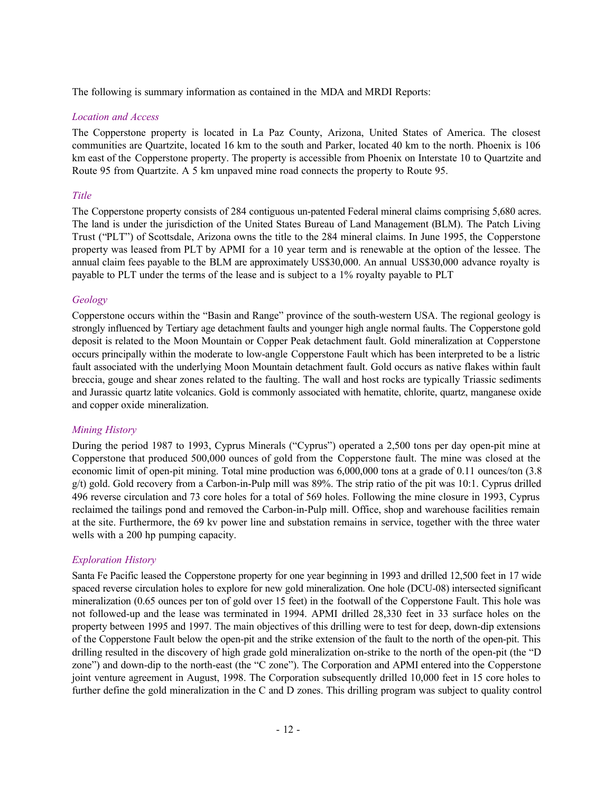The following is summary information as contained in the MDA and MRDI Reports:

#### *Location and Access*

The Copperstone property is located in La Paz County, Arizona, United States of America. The closest communities are Quartzite, located 16 km to the south and Parker, located 40 km to the north. Phoenix is 106 km east of the Copperstone property. The property is accessible from Phoenix on Interstate 10 to Quartzite and Route 95 from Quartzite. A 5 km unpaved mine road connects the property to Route 95.

## *Title*

The Copperstone property consists of 284 contiguous un-patented Federal mineral claims comprising 5,680 acres. The land is under the jurisdiction of the United States Bureau of Land Management (BLM). The Patch Living Trust ("PLT") of Scottsdale, Arizona owns the title to the 284 mineral claims. In June 1995, the Copperstone property was leased from PLT by APMI for a 10 year term and is renewable at the option of the lessee. The annual claim fees payable to the BLM are approximately US\$30,000. An annual US\$30,000 advance royalty is payable to PLT under the terms of the lease and is subject to a 1% royalty payable to PLT

## *Geology*

Copperstone occurs within the "Basin and Range" province of the south-western USA. The regional geology is strongly influenced by Tertiary age detachment faults and younger high angle normal faults. The Copperstone gold deposit is related to the Moon Mountain or Copper Peak detachment fault. Gold mineralization at Copperstone occurs principally within the moderate to low-angle Copperstone Fault which has been interpreted to be a listric fault associated with the underlying Moon Mountain detachment fault. Gold occurs as native flakes within fault breccia, gouge and shear zones related to the faulting. The wall and host rocks are typically Triassic sediments and Jurassic quartz latite volcanics. Gold is commonly associated with hematite, chlorite, quartz, manganese oxide and copper oxide mineralization.

## *Mining History*

During the period 1987 to 1993, Cyprus Minerals ("Cyprus") operated a 2,500 tons per day open-pit mine at Copperstone that produced 500,000 ounces of gold from the Copperstone fault. The mine was closed at the economic limit of open-pit mining. Total mine production was 6,000,000 tons at a grade of 0.11 ounces/ton (3.8 g/t) gold. Gold recovery from a Carbon-in-Pulp mill was 89%. The strip ratio of the pit was 10:1. Cyprus drilled 496 reverse circulation and 73 core holes for a total of 569 holes. Following the mine closure in 1993, Cyprus reclaimed the tailings pond and removed the Carbon-in-Pulp mill. Office, shop and warehouse facilities remain at the site. Furthermore, the 69 kv power line and substation remains in service, together with the three water wells with a 200 hp pumping capacity.

## *Exploration History*

Santa Fe Pacific leased the Copperstone property for one year beginning in 1993 and drilled 12,500 feet in 17 wide spaced reverse circulation holes to explore for new gold mineralization. One hole (DCU-08) intersected significant mineralization (0.65 ounces per ton of gold over 15 feet) in the footwall of the Copperstone Fault. This hole was not followed-up and the lease was terminated in 1994. APMI drilled 28,330 feet in 33 surface holes on the property between 1995 and 1997. The main objectives of this drilling were to test for deep, down-dip extensions of the Copperstone Fault below the open-pit and the strike extension of the fault to the north of the open-pit. This drilling resulted in the discovery of high grade gold mineralization on-strike to the north of the open-pit (the "D zone") and down-dip to the north-east (the "C zone"). The Corporation and APMI entered into the Copperstone joint venture agreement in August, 1998. The Corporation subsequently drilled 10,000 feet in 15 core holes to further define the gold mineralization in the C and D zones. This drilling program was subject to quality control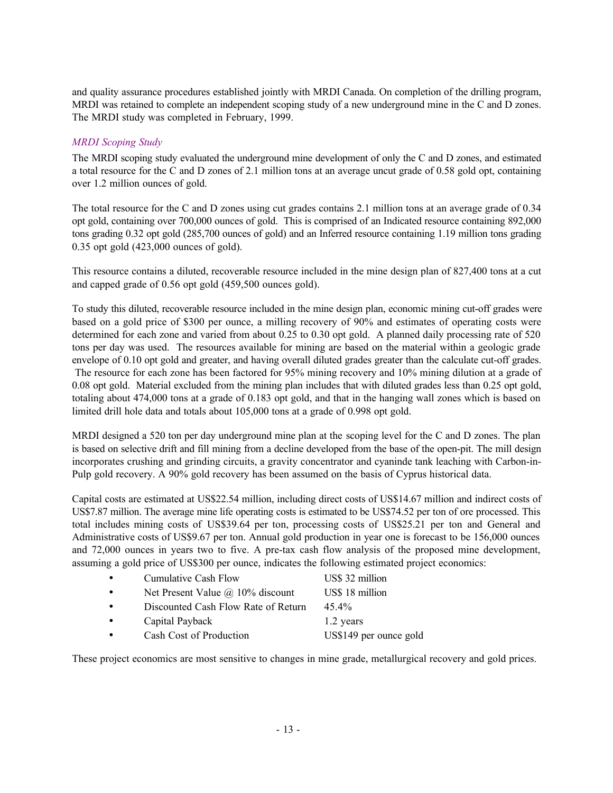and quality assurance procedures established jointly with MRDI Canada. On completion of the drilling program, MRDI was retained to complete an independent scoping study of a new underground mine in the C and D zones. The MRDI study was completed in February, 1999.

## *MRDI Scoping Study*

The MRDI scoping study evaluated the underground mine development of only the C and D zones, and estimated a total resource for the C and D zones of 2.1 million tons at an average uncut grade of 0.58 gold opt, containing over 1.2 million ounces of gold.

The total resource for the C and D zones using cut grades contains 2.1 million tons at an average grade of 0.34 opt gold, containing over 700,000 ounces of gold. This is comprised of an Indicated resource containing 892,000 tons grading 0.32 opt gold (285,700 ounces of gold) and an Inferred resource containing 1.19 million tons grading 0.35 opt gold (423,000 ounces of gold).

This resource contains a diluted, recoverable resource included in the mine design plan of 827,400 tons at a cut and capped grade of 0.56 opt gold (459,500 ounces gold).

To study this diluted, recoverable resource included in the mine design plan, economic mining cut-off grades were based on a gold price of \$300 per ounce, a milling recovery of 90% and estimates of operating costs were determined for each zone and varied from about 0.25 to 0.30 opt gold. A planned daily processing rate of 520 tons per day was used. The resources available for mining are based on the material within a geologic grade envelope of 0.10 opt gold and greater, and having overall diluted grades greater than the calculate cut-off grades. The resource for each zone has been factored for 95% mining recovery and 10% mining dilution at a grade of 0.08 opt gold. Material excluded from the mining plan includes that with diluted grades less than 0.25 opt gold, totaling about 474,000 tons at a grade of 0.183 opt gold, and that in the hanging wall zones which is based on limited drill hole data and totals about 105,000 tons at a grade of 0.998 opt gold.

MRDI designed a 520 ton per day underground mine plan at the scoping level for the C and D zones. The plan is based on selective drift and fill mining from a decline developed from the base of the open-pit. The mill design incorporates crushing and grinding circuits, a gravity concentrator and cyaninde tank leaching with Carbon-in-Pulp gold recovery. A 90% gold recovery has been assumed on the basis of Cyprus historical data.

Capital costs are estimated at US\$22.54 million, including direct costs of US\$14.67 million and indirect costs of US\$7.87 million. The average mine life operating costs is estimated to be US\$74.52 per ton of ore processed. This total includes mining costs of US\$39.64 per ton, processing costs of US\$25.21 per ton and General and Administrative costs of US\$9.67 per ton. Annual gold production in year one is forecast to be 156,000 ounces and 72,000 ounces in years two to five. A pre-tax cash flow analysis of the proposed mine development, assuming a gold price of US\$300 per ounce, indicates the following estimated project economics:

| $\bullet$ | <b>Cumulative Cash Flow</b>             | US\$ 32 million        |
|-----------|-----------------------------------------|------------------------|
| $\bullet$ | Net Present Value $\omega$ 10% discount | US\$ 18 million        |
| $\bullet$ | Discounted Cash Flow Rate of Return     | 45.4%                  |
| $\bullet$ | Capital Payback                         | 1.2 years              |
| $\bullet$ | Cash Cost of Production                 | US\$149 per ounce gold |

These project economics are most sensitive to changes in mine grade, metallurgical recovery and gold prices.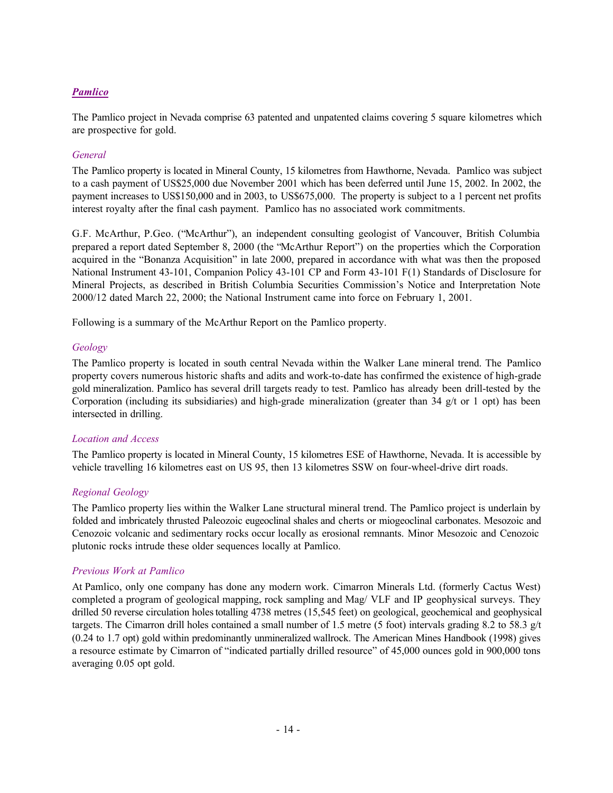# *Pamlico*

The Pamlico project in Nevada comprise 63 patented and unpatented claims covering 5 square kilometres which are prospective for gold.

## *General*

The Pamlico property is located in Mineral County, 15 kilometres from Hawthorne, Nevada. Pamlico was subject to a cash payment of US\$25,000 due November 2001 which has been deferred until June 15, 2002. In 2002, the payment increases to US\$150,000 and in 2003, to US\$675,000. The property is subject to a 1 percent net profits interest royalty after the final cash payment. Pamlico has no associated work commitments.

G.F. McArthur, P.Geo. ("McArthur"), an independent consulting geologist of Vancouver, British Columbia prepared a report dated September 8, 2000 (the "McArthur Report") on the properties which the Corporation acquired in the "Bonanza Acquisition" in late 2000, prepared in accordance with what was then the proposed National Instrument 43-101, Companion Policy 43-101 CP and Form 43-101 F(1) Standards of Disclosure for Mineral Projects, as described in British Columbia Securities Commission's Notice and Interpretation Note 2000/12 dated March 22, 2000; the National Instrument came into force on February 1, 2001.

Following is a summary of the McArthur Report on the Pamlico property.

## *Geology*

The Pamlico property is located in south central Nevada within the Walker Lane mineral trend. The Pamlico property covers numerous historic shafts and adits and work-to-date has confirmed the existence of high-grade gold mineralization. Pamlico has several drill targets ready to test. Pamlico has already been drill-tested by the Corporation (including its subsidiaries) and high-grade mineralization (greater than  $34 \frac{g}{t}$  or 1 opt) has been intersected in drilling.

## *Location and Access*

The Pamlico property is located in Mineral County, 15 kilometres ESE of Hawthorne, Nevada. It is accessible by vehicle travelling 16 kilometres east on US 95, then 13 kilometres SSW on four-wheel-drive dirt roads.

## *Regional Geology*

The Pamlico property lies within the Walker Lane structural mineral trend. The Pamlico project is underlain by folded and imbricately thrusted Paleozoic eugeoclinal shales and cherts or miogeoclinal carbonates. Mesozoic and Cenozoic volcanic and sedimentary rocks occur locally as erosional remnants. Minor Mesozoic and Cenozoic plutonic rocks intrude these older sequences locally at Pamlico.

#### *Previous Work at Pamlico*

At Pamlico, only one company has done any modern work. Cimarron Minerals Ltd. (formerly Cactus West) completed a program of geological mapping, rock sampling and Mag/ VLF and IP geophysical surveys. They drilled 50 reverse circulation holes totalling 4738 metres (15,545 feet) on geological, geochemical and geophysical targets. The Cimarron drill holes contained a small number of 1.5 metre (5 foot) intervals grading 8.2 to 58.3 g/t (0.24 to 1.7 opt) gold within predominantly unmineralized wallrock. The American Mines Handbook (1998) gives a resource estimate by Cimarron of "indicated partially drilled resource" of 45,000 ounces gold in 900,000 tons averaging 0.05 opt gold.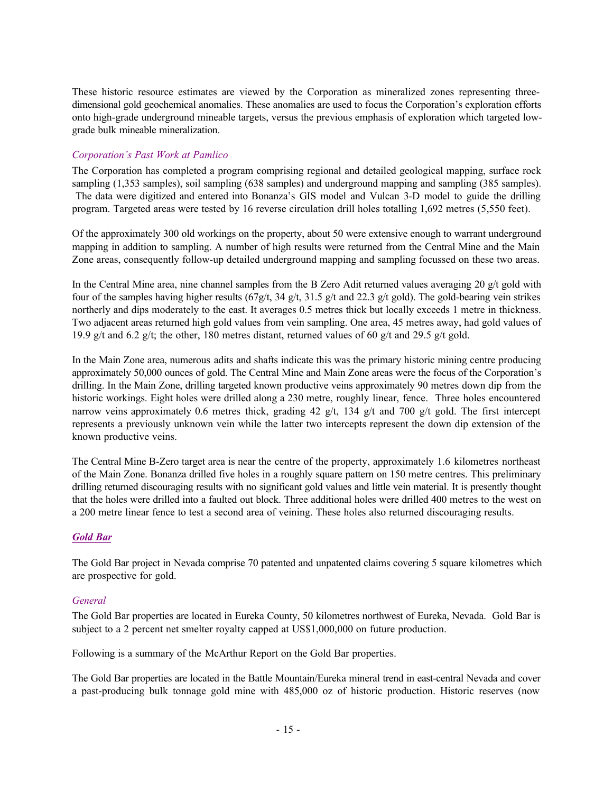These historic resource estimates are viewed by the Corporation as mineralized zones representing threedimensional gold geochemical anomalies. These anomalies are used to focus the Corporation's exploration efforts onto high-grade underground mineable targets, versus the previous emphasis of exploration which targeted lowgrade bulk mineable mineralization.

# *Corporation's Past Work at Pamlico*

The Corporation has completed a program comprising regional and detailed geological mapping, surface rock sampling (1,353 samples), soil sampling (638 samples) and underground mapping and sampling (385 samples). The data were digitized and entered into Bonanza's GIS model and Vulcan 3-D model to guide the drilling program. Targeted areas were tested by 16 reverse circulation drill holes totalling 1,692 metres (5,550 feet).

Of the approximately 300 old workings on the property, about 50 were extensive enough to warrant underground mapping in addition to sampling. A number of high results were returned from the Central Mine and the Main Zone areas, consequently follow-up detailed underground mapping and sampling focussed on these two areas.

In the Central Mine area, nine channel samples from the B Zero Adit returned values averaging 20 g/t gold with four of the samples having higher results (67g/t, 34 g/t, 31.5 g/t and 22.3 g/t gold). The gold-bearing vein strikes northerly and dips moderately to the east. It averages 0.5 metres thick but locally exceeds 1 metre in thickness. Two adjacent areas returned high gold values from vein sampling. One area, 45 metres away, had gold values of 19.9 g/t and 6.2 g/t; the other, 180 metres distant, returned values of 60 g/t and 29.5 g/t gold.

In the Main Zone area, numerous adits and shafts indicate this was the primary historic mining centre producing approximately 50,000 ounces of gold. The Central Mine and Main Zone areas were the focus of the Corporation's drilling. In the Main Zone, drilling targeted known productive veins approximately 90 metres down dip from the historic workings. Eight holes were drilled along a 230 metre, roughly linear, fence. Three holes encountered narrow veins approximately 0.6 metres thick, grading 42  $g/t$ , 134  $g/t$  and 700  $g/t$  gold. The first intercept represents a previously unknown vein while the latter two intercepts represent the down dip extension of the known productive veins.

The Central Mine B-Zero target area is near the centre of the property, approximately 1.6 kilometres northeast of the Main Zone. Bonanza drilled five holes in a roughly square pattern on 150 metre centres. This preliminary drilling returned discouraging results with no significant gold values and little vein material. It is presently thought that the holes were drilled into a faulted out block. Three additional holes were drilled 400 metres to the west on a 200 metre linear fence to test a second area of veining. These holes also returned discouraging results.

# *Gold Bar*

The Gold Bar project in Nevada comprise 70 patented and unpatented claims covering 5 square kilometres which are prospective for gold.

## *General*

The Gold Bar properties are located in Eureka County, 50 kilometres northwest of Eureka, Nevada. Gold Bar is subject to a 2 percent net smelter royalty capped at US\$1,000,000 on future production.

Following is a summary of the McArthur Report on the Gold Bar properties.

The Gold Bar properties are located in the Battle Mountain/Eureka mineral trend in east-central Nevada and cover a past-producing bulk tonnage gold mine with 485,000 oz of historic production. Historic reserves (now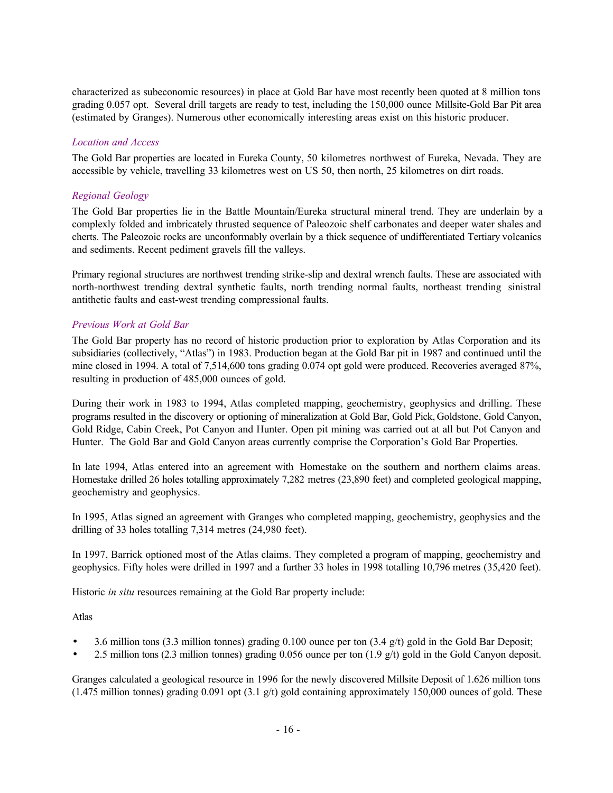characterized as subeconomic resources) in place at Gold Bar have most recently been quoted at 8 million tons grading 0.057 opt. Several drill targets are ready to test, including the 150,000 ounce Millsite-Gold Bar Pit area (estimated by Granges). Numerous other economically interesting areas exist on this historic producer.

## *Location and Access*

The Gold Bar properties are located in Eureka County, 50 kilometres northwest of Eureka, Nevada. They are accessible by vehicle, travelling 33 kilometres west on US 50, then north, 25 kilometres on dirt roads.

# *Regional Geology*

The Gold Bar properties lie in the Battle Mountain/Eureka structural mineral trend. They are underlain by a complexly folded and imbricately thrusted sequence of Paleozoic shelf carbonates and deeper water shales and cherts. The Paleozoic rocks are unconformably overlain by a thick sequence of undifferentiated Tertiary volcanics and sediments. Recent pediment gravels fill the valleys.

Primary regional structures are northwest trending strike-slip and dextral wrench faults. These are associated with north-northwest trending dextral synthetic faults, north trending normal faults, northeast trending sinistral antithetic faults and east-west trending compressional faults.

# *Previous Work at Gold Bar*

The Gold Bar property has no record of historic production prior to exploration by Atlas Corporation and its subsidiaries (collectively, "Atlas") in 1983. Production began at the Gold Bar pit in 1987 and continued until the mine closed in 1994. A total of 7,514,600 tons grading 0.074 opt gold were produced. Recoveries averaged 87%, resulting in production of 485,000 ounces of gold.

During their work in 1983 to 1994, Atlas completed mapping, geochemistry, geophysics and drilling. These programs resulted in the discovery or optioning of mineralization at Gold Bar, Gold Pick, Goldstone, Gold Canyon, Gold Ridge, Cabin Creek, Pot Canyon and Hunter. Open pit mining was carried out at all but Pot Canyon and Hunter. The Gold Bar and Gold Canyon areas currently comprise the Corporation's Gold Bar Properties.

In late 1994, Atlas entered into an agreement with Homestake on the southern and northern claims areas. Homestake drilled 26 holes totalling approximately 7,282 metres (23,890 feet) and completed geological mapping, geochemistry and geophysics.

In 1995, Atlas signed an agreement with Granges who completed mapping, geochemistry, geophysics and the drilling of 33 holes totalling 7,314 metres (24,980 feet).

In 1997, Barrick optioned most of the Atlas claims. They completed a program of mapping, geochemistry and geophysics. Fifty holes were drilled in 1997 and a further 33 holes in 1998 totalling 10,796 metres (35,420 feet).

Historic *in situ* resources remaining at the Gold Bar property include:

Atlas

- 3.6 million tons (3.3 million tonnes) grading 0.100 ounce per ton (3.4 g/t) gold in the Gold Bar Deposit;
- 2.5 million tons (2.3 million tonnes) grading 0.056 ounce per ton (1.9 g/t) gold in the Gold Canyon deposit.

Granges calculated a geological resource in 1996 for the newly discovered Millsite Deposit of 1.626 million tons (1.475 million tonnes) grading 0.091 opt (3.1 g/t) gold containing approximately 150,000 ounces of gold. These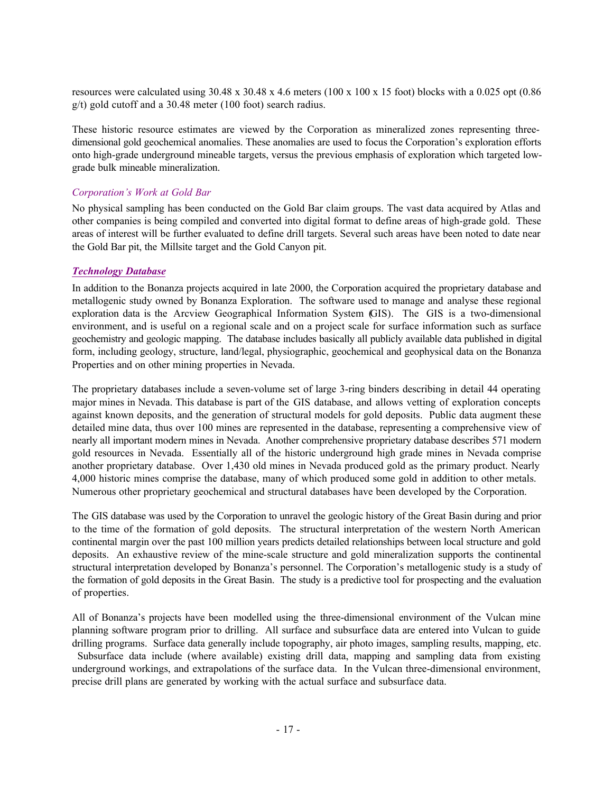resources were calculated using 30.48 x 30.48 x 4.6 meters (100 x 100 x 15 foot) blocks with a 0.025 opt (0.86 g/t) gold cutoff and a 30.48 meter (100 foot) search radius.

These historic resource estimates are viewed by the Corporation as mineralized zones representing threedimensional gold geochemical anomalies. These anomalies are used to focus the Corporation's exploration efforts onto high-grade underground mineable targets, versus the previous emphasis of exploration which targeted lowgrade bulk mineable mineralization.

#### *Corporation's Work at Gold Bar*

No physical sampling has been conducted on the Gold Bar claim groups. The vast data acquired by Atlas and other companies is being compiled and converted into digital format to define areas of high-grade gold. These areas of interest will be further evaluated to define drill targets. Several such areas have been noted to date near the Gold Bar pit, the Millsite target and the Gold Canyon pit.

#### *Technology Database*

In addition to the Bonanza projects acquired in late 2000, the Corporation acquired the proprietary database and metallogenic study owned by Bonanza Exploration. The software used to manage and analyse these regional exploration data is the Arcview Geographical Information System (GIS). The GIS is a two-dimensional environment, and is useful on a regional scale and on a project scale for surface information such as surface geochemistry and geologic mapping. The database includes basically all publicly available data published in digital form, including geology, structure, land/legal, physiographic, geochemical and geophysical data on the Bonanza Properties and on other mining properties in Nevada.

The proprietary databases include a seven-volume set of large 3-ring binders describing in detail 44 operating major mines in Nevada. This database is part of the GIS database, and allows vetting of exploration concepts against known deposits, and the generation of structural models for gold deposits. Public data augment these detailed mine data, thus over 100 mines are represented in the database, representing a comprehensive view of nearly all important modern mines in Nevada. Another comprehensive proprietary database describes 571 modern gold resources in Nevada. Essentially all of the historic underground high grade mines in Nevada comprise another proprietary database. Over 1,430 old mines in Nevada produced gold as the primary product. Nearly 4,000 historic mines comprise the database, many of which produced some gold in addition to other metals. Numerous other proprietary geochemical and structural databases have been developed by the Corporation.

The GIS database was used by the Corporation to unravel the geologic history of the Great Basin during and prior to the time of the formation of gold deposits. The structural interpretation of the western North American continental margin over the past 100 million years predicts detailed relationships between local structure and gold deposits. An exhaustive review of the mine-scale structure and gold mineralization supports the continental structural interpretation developed by Bonanza's personnel. The Corporation's metallogenic study is a study of the formation of gold deposits in the Great Basin. The study is a predictive tool for prospecting and the evaluation of properties.

All of Bonanza's projects have been modelled using the three-dimensional environment of the Vulcan mine planning software program prior to drilling. All surface and subsurface data are entered into Vulcan to guide drilling programs. Surface data generally include topography, air photo images, sampling results, mapping, etc. Subsurface data include (where available) existing drill data, mapping and sampling data from existing underground workings, and extrapolations of the surface data. In the Vulcan three-dimensional environment, precise drill plans are generated by working with the actual surface and subsurface data.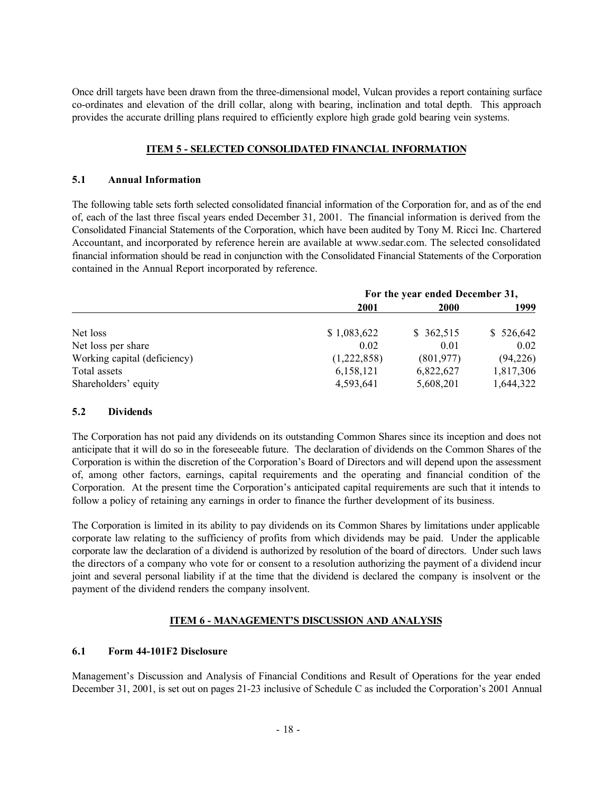Once drill targets have been drawn from the three-dimensional model, Vulcan provides a report containing surface co-ordinates and elevation of the drill collar, along with bearing, inclination and total depth. This approach provides the accurate drilling plans required to efficiently explore high grade gold bearing vein systems.

# **ITEM 5 - SELECTED CONSOLIDATED FINANCIAL INFORMATION**

## **5.1 Annual Information**

The following table sets forth selected consolidated financial information of the Corporation for, and as of the end of, each of the last three fiscal years ended December 31, 2001. The financial information is derived from the Consolidated Financial Statements of the Corporation, which have been audited by Tony M. Ricci Inc. Chartered Accountant, and incorporated by reference herein are available at www.sedar.com. The selected consolidated financial information should be read in conjunction with the Consolidated Financial Statements of the Corporation contained in the Annual Report incorporated by reference.

|                              | For the year ended December 31, |             |           |
|------------------------------|---------------------------------|-------------|-----------|
|                              | 2001                            | <b>2000</b> | 1999      |
| Net loss                     | \$1,083,622                     | \$362,515   | \$526,642 |
| Net loss per share           | 0.02                            | 0.01        | 0.02      |
| Working capital (deficiency) | (1,222,858)                     | (801, 977)  | (94, 226) |
| Total assets                 | 6,158,121                       | 6,822,627   | 1,817,306 |
| Shareholders' equity         | 4,593,641                       | 5,608,201   | 1,644,322 |

## **5.2 Dividends**

The Corporation has not paid any dividends on its outstanding Common Shares since its inception and does not anticipate that it will do so in the foreseeable future. The declaration of dividends on the Common Shares of the Corporation is within the discretion of the Corporation's Board of Directors and will depend upon the assessment of, among other factors, earnings, capital requirements and the operating and financial condition of the Corporation. At the present time the Corporation's anticipated capital requirements are such that it intends to follow a policy of retaining any earnings in order to finance the further development of its business.

The Corporation is limited in its ability to pay dividends on its Common Shares by limitations under applicable corporate law relating to the sufficiency of profits from which dividends may be paid. Under the applicable corporate law the declaration of a dividend is authorized by resolution of the board of directors. Under such laws the directors of a company who vote for or consent to a resolution authorizing the payment of a dividend incur joint and several personal liability if at the time that the dividend is declared the company is insolvent or the payment of the dividend renders the company insolvent.

# **ITEM 6 - MANAGEMENT'S DISCUSSION AND ANALYSIS**

# **6.1 Form 44-101F2 Disclosure**

Management's Discussion and Analysis of Financial Conditions and Result of Operations for the year ended December 31, 2001, is set out on pages 21-23 inclusive of Schedule C as included the Corporation's 2001 Annual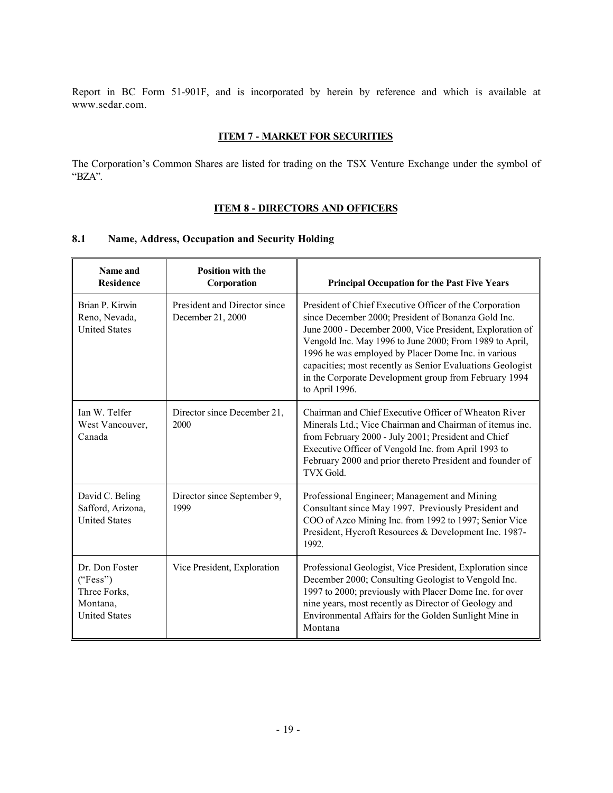Report in BC Form 51-901F, and is incorporated by herein by reference and which is available at www.sedar.com.

#### **ITEM 7 - MARKET FOR SECURITIES**

The Corporation's Common Shares are listed for trading on the TSX Venture Exchange under the symbol of "BZA".

# **ITEM 8 - DIRECTORS AND OFFICERS**

# **8.1 Name, Address, Occupation and Security Holding**

| Name and<br><b>Residence</b>                                                   | <b>Position with the</b><br>Corporation           | <b>Principal Occupation for the Past Five Years</b>                                                                                                                                                                                                                                                                                                                                                                                   |
|--------------------------------------------------------------------------------|---------------------------------------------------|---------------------------------------------------------------------------------------------------------------------------------------------------------------------------------------------------------------------------------------------------------------------------------------------------------------------------------------------------------------------------------------------------------------------------------------|
| Brian P. Kirwin<br>Reno, Nevada,<br><b>United States</b>                       | President and Director since<br>December 21, 2000 | President of Chief Executive Officer of the Corporation<br>since December 2000; President of Bonanza Gold Inc.<br>June 2000 - December 2000, Vice President, Exploration of<br>Vengold Inc. May 1996 to June 2000; From 1989 to April,<br>1996 he was employed by Placer Dome Inc. in various<br>capacities; most recently as Senior Evaluations Geologist<br>in the Corporate Development group from February 1994<br>to April 1996. |
| Ian W. Telfer<br>West Vancouver,<br>Canada                                     | Director since December 21,<br>2000               | Chairman and Chief Executive Officer of Wheaton River<br>Minerals Ltd.; Vice Chairman and Chairman of itemus inc.<br>from February 2000 - July 2001; President and Chief<br>Executive Officer of Vengold Inc. from April 1993 to<br>February 2000 and prior thereto President and founder of<br><b>TVX Gold.</b>                                                                                                                      |
| David C. Beling<br>Safford, Arizona,<br><b>United States</b>                   | Director since September 9,<br>1999               | Professional Engineer; Management and Mining<br>Consultant since May 1997. Previously President and<br>COO of Azco Mining Inc. from 1992 to 1997; Senior Vice<br>President, Hycroft Resources & Development Inc. 1987-<br>1992.                                                                                                                                                                                                       |
| Dr. Don Foster<br>("Fess")<br>Three Forks,<br>Montana,<br><b>United States</b> | Vice President, Exploration                       | Professional Geologist, Vice President, Exploration since<br>December 2000; Consulting Geologist to Vengold Inc.<br>1997 to 2000; previously with Placer Dome Inc. for over<br>nine years, most recently as Director of Geology and<br>Environmental Affairs for the Golden Sunlight Mine in<br>Montana                                                                                                                               |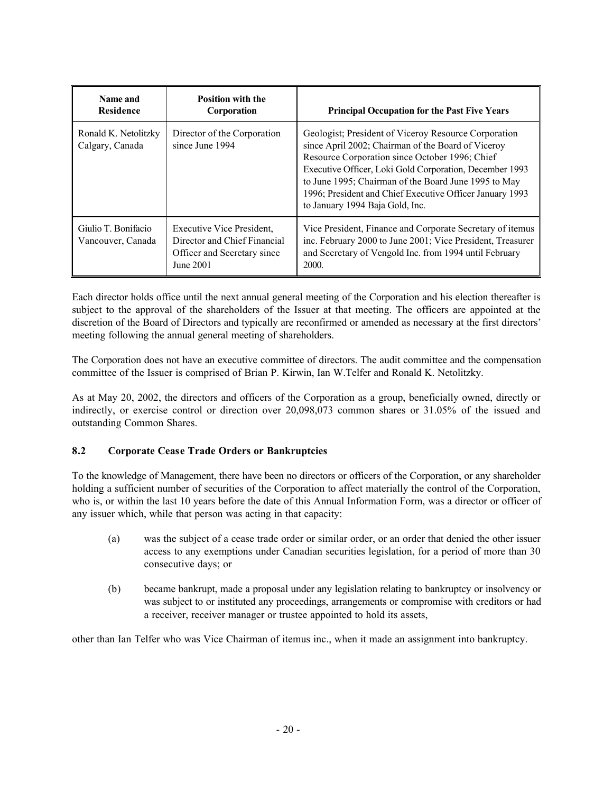| Name and<br><b>Residence</b>             | <b>Position with the</b><br>Corporation                                                               | <b>Principal Occupation for the Past Five Years</b>                                                                                                                                                                                                                                                                                                                            |
|------------------------------------------|-------------------------------------------------------------------------------------------------------|--------------------------------------------------------------------------------------------------------------------------------------------------------------------------------------------------------------------------------------------------------------------------------------------------------------------------------------------------------------------------------|
| Ronald K. Netolitzky<br>Calgary, Canada  | Director of the Corporation<br>since June 1994                                                        | Geologist; President of Viceroy Resource Corporation<br>since April 2002; Chairman of the Board of Viceroy<br>Resource Corporation since October 1996; Chief<br>Executive Officer, Loki Gold Corporation, December 1993<br>to June 1995; Chairman of the Board June 1995 to May<br>1996; President and Chief Executive Officer January 1993<br>to January 1994 Baja Gold, Inc. |
| Giulio T. Bonifacio<br>Vancouver, Canada | Executive Vice President,<br>Director and Chief Financial<br>Officer and Secretary since<br>June 2001 | Vice President, Finance and Corporate Secretary of itemus<br>inc. February 2000 to June 2001; Vice President, Treasurer<br>and Secretary of Vengold Inc. from 1994 until February<br>2000.                                                                                                                                                                                     |

Each director holds office until the next annual general meeting of the Corporation and his election thereafter is subject to the approval of the shareholders of the Issuer at that meeting. The officers are appointed at the discretion of the Board of Directors and typically are reconfirmed or amended as necessary at the first directors' meeting following the annual general meeting of shareholders.

The Corporation does not have an executive committee of directors. The audit committee and the compensation committee of the Issuer is comprised of Brian P. Kirwin, Ian W.Telfer and Ronald K. Netolitzky.

As at May 20, 2002, the directors and officers of the Corporation as a group, beneficially owned, directly or indirectly, or exercise control or direction over 20,098,073 common shares or 31.05% of the issued and outstanding Common Shares.

# **8.2 Corporate Cease Trade Orders or Bankruptcies**

To the knowledge of Management, there have been no directors or officers of the Corporation, or any shareholder holding a sufficient number of securities of the Corporation to affect materially the control of the Corporation, who is, or within the last 10 years before the date of this Annual Information Form, was a director or officer of any issuer which, while that person was acting in that capacity:

- (a) was the subject of a cease trade order or similar order, or an order that denied the other issuer access to any exemptions under Canadian securities legislation, for a period of more than 30 consecutive days; or
- (b) became bankrupt, made a proposal under any legislation relating to bankruptcy or insolvency or was subject to or instituted any proceedings, arrangements or compromise with creditors or had a receiver, receiver manager or trustee appointed to hold its assets,

other than Ian Telfer who was Vice Chairman of itemus inc., when it made an assignment into bankruptcy.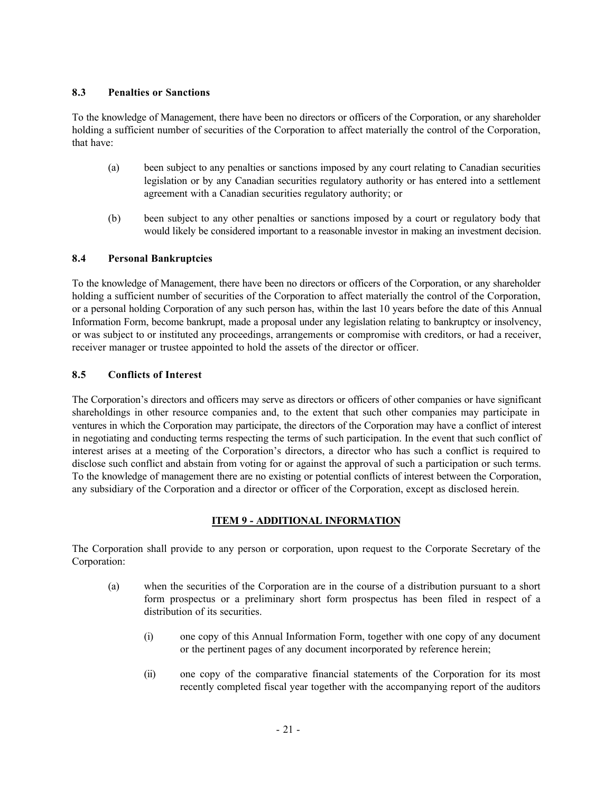## **8.3 Penalties or Sanctions**

To the knowledge of Management, there have been no directors or officers of the Corporation, or any shareholder holding a sufficient number of securities of the Corporation to affect materially the control of the Corporation, that have:

- (a) been subject to any penalties or sanctions imposed by any court relating to Canadian securities legislation or by any Canadian securities regulatory authority or has entered into a settlement agreement with a Canadian securities regulatory authority; or
- (b) been subject to any other penalties or sanctions imposed by a court or regulatory body that would likely be considered important to a reasonable investor in making an investment decision.

# **8.4 Personal Bankruptcies**

To the knowledge of Management, there have been no directors or officers of the Corporation, or any shareholder holding a sufficient number of securities of the Corporation to affect materially the control of the Corporation, or a personal holding Corporation of any such person has, within the last 10 years before the date of this Annual Information Form, become bankrupt, made a proposal under any legislation relating to bankruptcy or insolvency, or was subject to or instituted any proceedings, arrangements or compromise with creditors, or had a receiver, receiver manager or trustee appointed to hold the assets of the director or officer.

# **8.5 Conflicts of Interest**

The Corporation's directors and officers may serve as directors or officers of other companies or have significant shareholdings in other resource companies and, to the extent that such other companies may participate in ventures in which the Corporation may participate, the directors of the Corporation may have a conflict of interest in negotiating and conducting terms respecting the terms of such participation. In the event that such conflict of interest arises at a meeting of the Corporation's directors, a director who has such a conflict is required to disclose such conflict and abstain from voting for or against the approval of such a participation or such terms. To the knowledge of management there are no existing or potential conflicts of interest between the Corporation, any subsidiary of the Corporation and a director or officer of the Corporation, except as disclosed herein.

# **ITEM 9 - ADDITIONAL INFORMATION**

The Corporation shall provide to any person or corporation, upon request to the Corporate Secretary of the Corporation:

- (a) when the securities of the Corporation are in the course of a distribution pursuant to a short form prospectus or a preliminary short form prospectus has been filed in respect of a distribution of its securities.
	- (i) one copy of this Annual Information Form, together with one copy of any document or the pertinent pages of any document incorporated by reference herein;
	- (ii) one copy of the comparative financial statements of the Corporation for its most recently completed fiscal year together with the accompanying report of the auditors